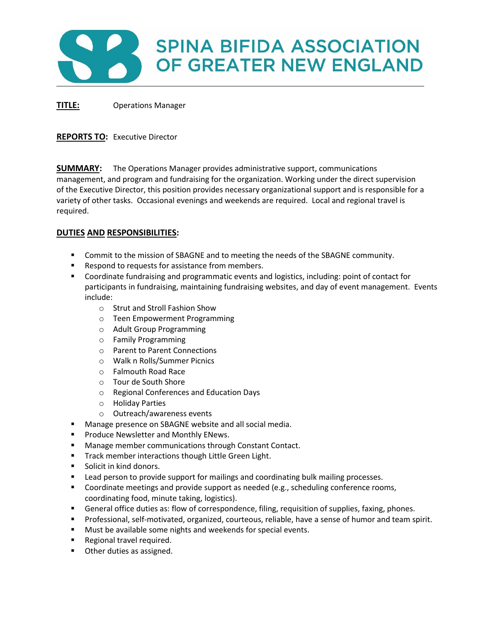## SPINA BIFIDA ASSOCIATION OF GREATER NEW ENGLAND

**TITLE:** Operations Manager

**REPORTS TO:** Executive Director

**SUMMARY:** The Operations Manager provides administrative support, communications management, and program and fundraising for the organization. Working under the direct supervision of the Executive Director, this position provides necessary organizational support and is responsible for a variety of other tasks. Occasional evenings and weekends are required. Local and regional travel is required.

## **DUTIES AND RESPONSIBILITIES:**

- **•** Commit to the mission of SBAGNE and to meeting the needs of the SBAGNE community.
- Respond to requests for assistance from members.
- Coordinate fundraising and programmatic events and logistics, including: point of contact for participants in fundraising, maintaining fundraising websites, and day of event management. Events include:
	- o Strut and Stroll Fashion Show
	- o Teen Empowerment Programming
	- o Adult Group Programming
	- o Family Programming
	- o Parent to Parent Connections
	- o Walk n Rolls/Summer Picnics
	- o Falmouth Road Race
	- o Tour de South Shore
	- o Regional Conferences and Education Days
	- o Holiday Parties
	- o Outreach/awareness events
- Manage presence on SBAGNE website and all social media.
- Produce Newsletter and Monthly ENews.
- Manage member communications through Constant Contact.
- **Track member interactions though Little Green Light.**
- Solicit in kind donors.
- Lead person to provide support for mailings and coordinating bulk mailing processes.
- Coordinate meetings and provide support as needed (e.g., scheduling conference rooms, coordinating food, minute taking, logistics).
- General office duties as: flow of correspondence, filing, requisition of supplies, faxing, phones.
- Professional, self-motivated, organized, courteous, reliable, have a sense of humor and team spirit.
- Must be available some nights and weekends for special events.
- Regional travel required.
- Other duties as assigned.